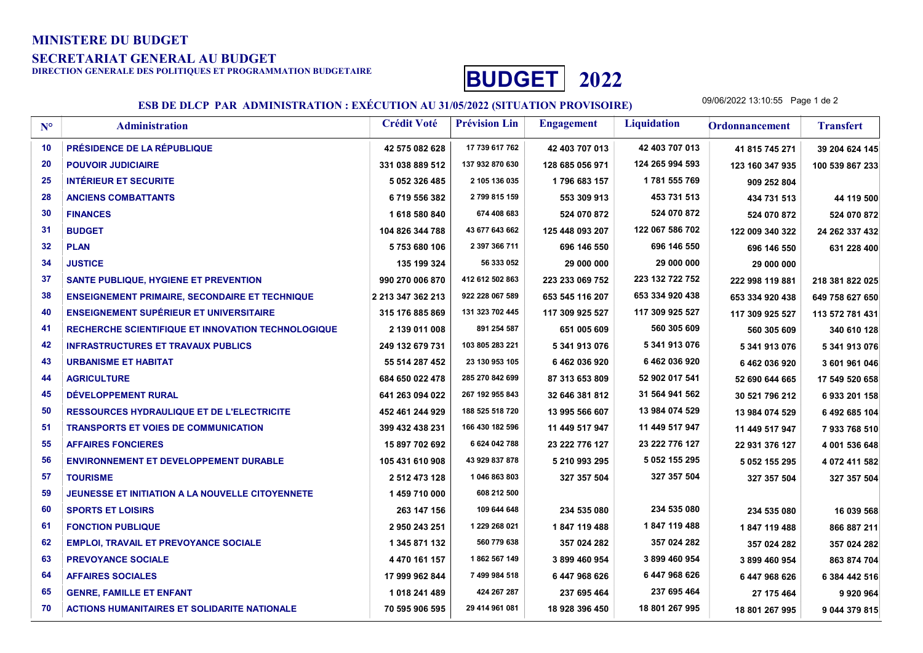## MINISTERE DU BUDGET

SECRETARIAT GENERAL AU BUDGET<br>DIRECTION GENERALE DES POLITIOUES ET PROGRAMMATION BUDGETAIRE



ESB DE DLCP PAR ADMINISTRATION : EXÉCUTION AU 31/05/2022 (SITUATION PROVISOIRE)

09/06/2022 13:10:55 Page 1 de 2

| $N^{\circ}$ | <b>Administration</b>                                     | <b>Crédit Voté</b> | <b>Prévision Lin</b> | <b>Engagement</b> | <b>Liquidation</b> | <b>Ordonnancement</b> | <b>Transfert</b> |
|-------------|-----------------------------------------------------------|--------------------|----------------------|-------------------|--------------------|-----------------------|------------------|
| 10          | <b>PRÉSIDENCE DE LA RÉPUBLIQUE</b>                        | 42 575 082 628     | 17 739 617 762       | 42 403 707 013    | 42 403 707 013     | 41 815 745 271        | 39 204 624 145   |
| 20          | <b>POUVOIR JUDICIAIRE</b>                                 | 331 038 889 512    | 137 932 870 630      | 128 685 056 971   | 124 265 994 593    | 123 160 347 935       | 100 539 867 233  |
| 25          | <b>INTÉRIEUR ET SECURITE</b>                              | 5 052 326 485      | 2 105 136 035        | 1796 683 157      | 1781 555 769       | 909 252 804           |                  |
| 28          | <b>ANCIENS COMBATTANTS</b>                                | 6719556382         | 2 799 815 159        | 553 309 913       | 453 731 513        | 434 731 513           | 44 119 500       |
| 30          | <b>FINANCES</b>                                           | 1618580840         | 674 408 683          | 524 070 872       | 524 070 872        | 524 070 872           | 524 070 872      |
| 31          | <b>BUDGET</b>                                             | 104 826 344 788    | 43 677 643 662       | 125 448 093 207   | 122 067 586 702    | 122 009 340 322       | 24 262 337 432   |
| 32          | <b>PLAN</b>                                               | 5753680106         | 2 397 366 711        | 696 146 550       | 696 146 550        | 696 146 550           | 631 228 400      |
| 34          | <b>JUSTICE</b>                                            | 135 199 324        | 56 333 052           | 29 000 000        | 29 000 000         | 29 000 000            |                  |
| 37          | SANTE PUBLIQUE, HYGIENE ET PREVENTION                     | 990 270 006 870    | 412 612 502 863      | 223 233 069 752   | 223 132 722 752    | 222 998 119 881       | 218 381 822 025  |
| 38          | <b>ENSEIGNEMENT PRIMAIRE, SECONDAIRE ET TECHNIQUE</b>     | 2 213 347 362 213  | 922 228 067 589      | 653 545 116 207   | 653 334 920 438    | 653 334 920 438       | 649 758 627 650  |
| 40          | <b>ENSEIGNEMENT SUPÉRIEUR ET UNIVERSITAIRE</b>            | 315 176 885 869    | 131 323 702 445      | 117 309 925 527   | 117 309 925 527    | 117 309 925 527       | 113 572 781 431  |
| 41          | <b>RECHERCHE SCIENTIFIQUE ET INNOVATION TECHNOLOGIQUE</b> | 2 139 011 008      | 891 254 587          | 651 005 609       | 560 305 609        | 560 305 609           | 340 610 128      |
| 42          | <b>INFRASTRUCTURES ET TRAVAUX PUBLICS</b>                 | 249 132 679 731    | 103 805 283 221      | 5 341 913 076     | 5 341 913 076      | 5 341 913 076         | 5 341 913 076    |
| 43          | <b>URBANISME ET HABITAT</b>                               | 55 514 287 452     | 23 130 953 105       | 6462036920        | 6462036920         | 6462036920            | 3 601 961 046    |
| 44          | <b>AGRICULTURE</b>                                        | 684 650 022 478    | 285 270 842 699      | 87 313 653 809    | 52 902 017 541     | 52 690 644 665        | 17 549 520 658   |
| 45          | DÉVELOPPEMENT RURAL                                       | 641 263 094 022    | 267 192 955 843      | 32 646 381 812    | 31 564 941 562     | 30 521 796 212        | 6933 201 158     |
| 50          | <b>RESSOURCES HYDRAULIQUE ET DE L'ELECTRICITE</b>         | 452 461 244 929    | 188 525 518 720      | 13 995 566 607    | 13 984 074 529     | 13 984 074 529        | 6 492 685 104    |
| 51          | <b>TRANSPORTS ET VOIES DE COMMUNICATION</b>               | 399 432 438 231    | 166 430 182 596      | 11 449 517 947    | 11 449 517 947     | 11 449 517 947        | 7933768510       |
| 55          | <b>AFFAIRES FONCIERES</b>                                 | 15 897 702 692     | 6 624 042 788        | 23 222 776 127    | 23 222 776 127     | 22 931 376 127        | 4 001 536 648    |
| 56          | <b>ENVIRONNEMENT ET DEVELOPPEMENT DURABLE</b>             | 105 431 610 908    | 43 929 837 878       | 5 210 993 295     | 5 052 155 295      | 5 052 155 295         | 4 072 411 582    |
| 57          | <b>TOURISME</b>                                           | 2 512 473 128      | 1 046 863 803        | 327 357 504       | 327 357 504        | 327 357 504           | 327 357 504      |
| 59          | JEUNESSE ET INITIATION A LA NOUVELLE CITOYENNETE          | 1459710000         | 608 212 500          |                   |                    |                       |                  |
| 60          | <b>SPORTS ET LOISIRS</b>                                  | 263 147 156        | 109 644 648          | 234 535 080       | 234 535 080        | 234 535 080           | 16 039 568       |
| 61          | <b>FONCTION PUBLIQUE</b>                                  | 2950243251         | 1 229 268 021        | 1847 119 488      | 1847 119 488       | 1847 119 488          | 866 887 211      |
| 62          | <b>EMPLOI, TRAVAIL ET PREVOYANCE SOCIALE</b>              | 1 345 871 132      | 560 779 638          | 357 024 282       | 357 024 282        | 357 024 282           | 357 024 282      |
| 63          | <b>PREVOYANCE SOCIALE</b>                                 | 4 470 161 157      | 1862 567 149         | 3899460954        | 3 899 460 954      | 3 899 460 954         | 863 874 704      |
| 64          | <b>AFFAIRES SOCIALES</b>                                  | 17 999 962 844     | 7 499 984 518        | 6447968626        | 6447968626         | 6447968626            | 6 384 442 516    |
| 65          | <b>GENRE, FAMILLE ET ENFANT</b>                           | 1 018 241 489      | 424 267 287          | 237 695 464       | 237 695 464        | 27 175 464            | 9920964          |
| 70          | <b>ACTIONS HUMANITAIRES ET SOLIDARITE NATIONALE</b>       | 70 595 906 595     | 29 414 961 081       | 18 928 396 450    | 18 801 267 995     | 18 801 267 995        | 9 044 379 815    |